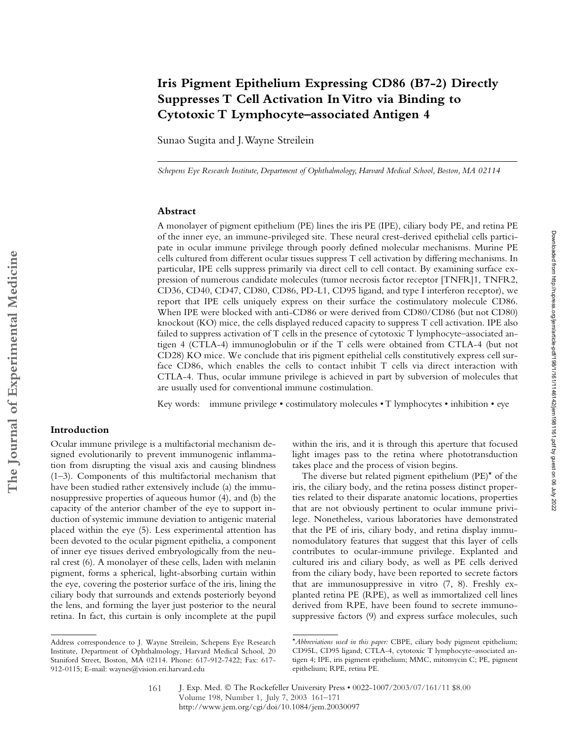# **Iris Pigment Epithelium Expressing CD86 (B7-2) Directly Suppresses T Cell Activation In Vitro via Binding to Cytotoxic T Lymphocyte–associated Antigen 4**

Sunao Sugita and J. Wayne Streilein

*Schepens Eye Research Institute, Department of Ophthalmology, Harvard Medical School, Boston, MA 02114*

# **Abstract**

A monolayer of pigment epithelium (PE) lines the iris PE (IPE), ciliary body PE, and retina PE of the inner eye, an immune-privileged site. These neural crest-derived epithelial cells participate in ocular immune privilege through poorly defined molecular mechanisms. Murine PE cells cultured from different ocular tissues suppress T cell activation by differing mechanisms. In particular, IPE cells suppress primarily via direct cell to cell contact. By examining surface expression of numerous candidate molecules (tumor necrosis factor receptor [TNFR]1, TNFR2, CD36, CD40, CD47, CD80, CD86, PD-L1, CD95 ligand, and type I interferon receptor), we report that IPE cells uniquely express on their surface the costimulatory molecule CD86. When IPE were blocked with anti-CD86 or were derived from CD80/CD86 (but not CD80) knockout (KO) mice, the cells displayed reduced capacity to suppress T cell activation. IPE also failed to suppress activation of T cells in the presence of cytotoxic T lymphocyte–associated antigen 4 (CTLA-4) immunoglobulin or if the T cells were obtained from CTLA-4 (but not CD28) KO mice. We conclude that iris pigment epithelial cells constitutively express cell surface CD86, which enables the cells to contact inhibit T cells via direct interaction with CTLA-4. Thus, ocular immune privilege is achieved in part by subversion of molecules that are usually used for conventional immune costimulation.

Key words: immune privilege • costimulatory molecules • T lymphocytes • inhibition • eye

# **Introduction**

Ocular immune privilege is a multifactorial mechanism designed evolutionarily to prevent immunogenic inflammation from disrupting the visual axis and causing blindness (1–3). Components of this multifactorial mechanism that have been studied rather extensively include (a) the immunosuppressive properties of aqueous humor (4), and (b) the capacity of the anterior chamber of the eye to support induction of systemic immune deviation to antigenic material placed within the eye (5). Less experimental attention has been devoted to the ocular pigment epithelia, a component of inner eye tissues derived embryologically from the neural crest (6). A monolayer of these cells, laden with melanin pigment, forms a spherical, light-absorbing curtain within the eye, covering the posterior surface of the iris, lining the ciliary body that surrounds and extends posteriorly beyond the lens, and forming the layer just posterior to the neural retina. In fact, this curtain is only incomplete at the pupil

within the iris, and it is through this aperture that focused light images pass to the retina where phototransduction takes place and the process of vision begins.

The diverse but related pigment epithelium (PE)\* of the iris, the ciliary body, and the retina possess distinct properties related to their disparate anatomic locations, properties that are not obviously pertinent to ocular immune privilege. Nonetheless, various laboratories have demonstrated that the PE of iris, ciliary body, and retina display immunomodulatory features that suggest that this layer of cells contributes to ocular-immune privilege. Explanted and cultured iris and ciliary body, as well as PE cells derived from the ciliary body, have been reported to secrete factors that are immunosuppressive in vitro (7, 8). Freshly explanted retina PE (RPE), as well as immortalized cell lines derived from RPE, have been found to secrete immunosuppressive factors (9) and express surface molecules, such

Address correspondence to J. Wayne Streilein, Schepens Eye Research Institute, Department of Ophthalmology, Harvard Medical School, 20 Staniford Street, Boston, MA 02114. Phone: 617-912-7422; Fax: 617- 912-0115; E-mail: waynes@vision.eri.harvard.edu

<sup>\*</sup>*Abbreviations used in this paper:* CBPE, ciliary body pigment epithelium; CD95L, CD95 ligand; CTLA-4, cytotoxic T lymphocyte–associated antigen 4; IPE, iris pigment epithelium; MMC, mitomycin C; PE, pigment epithelium; RPE, retina PE.

J. Exp. Med. © The Rockefeller University Press • 0022-1007/2003/07/161/11 \$8.00 Volume 198, Number 1, July 7, 2003 161–171 http://www.jem.org/cgi/doi/10.1084/jem.20030097 161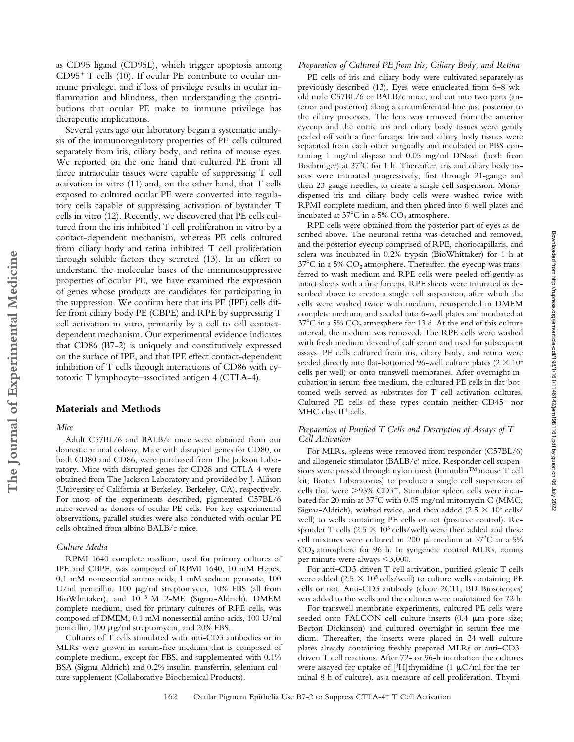as CD95 ligand (CD95L), which trigger apoptosis among CD95- T cells (10). If ocular PE contribute to ocular immune privilege, and if loss of privilege results in ocular inflammation and blindness, then understanding the contributions that ocular PE make to immune privilege has therapeutic implications.

Several years ago our laboratory began a systematic analysis of the immunoregulatory properties of PE cells cultured separately from iris, ciliary body, and retina of mouse eyes. We reported on the one hand that cultured PE from all three intraocular tissues were capable of suppressing T cell activation in vitro (11) and, on the other hand, that T cells exposed to cultured ocular PE were converted into regulatory cells capable of suppressing activation of bystander T cells in vitro (12). Recently, we discovered that PE cells cultured from the iris inhibited T cell proliferation in vitro by a contact-dependent mechanism, whereas PE cells cultured from ciliary body and retina inhibited T cell proliferation through soluble factors they secreted (13). In an effort to understand the molecular bases of the immunosuppressive properties of ocular PE, we have examined the expression of genes whose products are candidates for participating in the suppression. We confirm here that iris PE (IPE) cells differ from ciliary body PE (CBPE) and RPE by suppressing T cell activation in vitro, primarily by a cell to cell contactdependent mechanism. Our experimental evidence indicates that CD86 (B7-2) is uniquely and constitutively expressed on the surface of IPE, and that IPE effect contact-dependent inhibition of T cells through interactions of CD86 with cytotoxic T lymphocyte–associated antigen 4 (CTLA-4).

# **Materials and Methods**

# *Mice*

Adult C57BL/6 and BALB/c mice were obtained from our domestic animal colony. Mice with disrupted genes for CD80, or both CD80 and CD86, were purchased from The Jackson Laboratory. Mice with disrupted genes for CD28 and CTLA-4 were obtained from The Jackson Laboratory and provided by J. Allison (University of California at Berkeley, Berkeley, CA), respectively. For most of the experiments described, pigmented C57BL/6 mice served as donors of ocular PE cells. For key experimental observations, parallel studies were also conducted with ocular PE cells obtained from albino BALB/c mice.

# *Culture Media*

RPMI 1640 complete medium, used for primary cultures of IPE and CBPE, was composed of RPMI 1640, 10 mM Hepes, 0.1 mM nonessential amino acids, 1 mM sodium pyruvate, 100 U/ml penicillin, 100  $\mu$ g/ml streptomycin, 10% FBS (all from BioWhittaker), and  $10^{-5}$  M 2-ME (Sigma-Aldrich). DMEM complete medium, used for primary cultures of RPE cells, was composed of DMEM, 0.1 mM nonessential amino acids, 100 U/ml penicillin,  $100 \mu g/ml$  streptomycin, and  $20\%$  FBS.

Cultures of T cells stimulated with anti-CD3 antibodies or in MLRs were grown in serum-free medium that is composed of complete medium, except for FBS, and supplemented with 0.1% BSA (Sigma-Aldrich) and 0.2% insulin, transferrin, selenium culture supplement (Collaborative Biochemical Products).

#### *Preparation of Cultured PE from Iris, Ciliary Body, and Retina*

PE cells of iris and ciliary body were cultivated separately as previously described (13). Eyes were enucleated from 6–8-wkold male C57BL/6 or BALB/c mice, and cut into two parts (anterior and posterior) along a circumferential line just posterior to the ciliary processes. The lens was removed from the anterior eyecup and the entire iris and ciliary body tissues were gently peeled off with a fine forceps. Iris and ciliary body tissues were separated from each other surgically and incubated in PBS containing 1 mg/ml dispase and 0.05 mg/ml DNaseI (both from Boehringer) at 37°C for 1 h. Thereafter, iris and ciliary body tissues were triturated progressively, first through 21-gauge and then 23-gauge needles, to create a single cell suspension. Monodispersed iris and ciliary body cells were washed twice with RPMI complete medium, and then placed into 6-well plates and incubated at  $37^{\circ}$ C in a 5% CO<sub>2</sub> atmosphere.

RPE cells were obtained from the posterior part of eyes as described above. The neuronal retina was detached and removed, and the posterior eyecup comprised of RPE, choriocapillaris, and sclera was incubated in 0.2% trypsin (BioWhittaker) for 1 h at  $37^{\circ}$ C in a 5% CO<sub>2</sub> atmosphere. Thereafter, the eyecup was transferred to wash medium and RPE cells were peeled off gently as intact sheets with a fine forceps. RPE sheets were triturated as described above to create a single cell suspension, after which the cells were washed twice with medium, resuspended in DMEM complete medium, and seeded into 6-well plates and incubated at  $37^{\circ}$ C in a 5% CO<sub>2</sub> atmosphere for 13 d. At the end of this culture interval, the medium was removed. The RPE cells were washed with fresh medium devoid of calf serum and used for subsequent assays. PE cells cultured from iris, ciliary body, and retina were seeded directly into flat-bottomed 96-well culture plates ( $2 \times 10^4$ ) cells per well) or onto transwell membranes. After overnight incubation in serum-free medium, the cultured PE cells in flat-bottomed wells served as substrates for T cell activation cultures. Cultured PE cells of these types contain neither CD45<sup>+</sup> nor  $MHC$  class  $II<sup>+</sup>$  cells.

# *Preparation of Purified T Cells and Description of Assays of T Cell Activation*

For MLRs, spleens were removed from responder (C57BL/6) and allogeneic stimulator (BALB/c) mice. Responder cell suspensions were pressed through nylon mesh (Immulan™ mouse T cell kit; Biotex Laboratories) to produce a single cell suspension of cells that were  $>$ 95% CD3<sup>+</sup>. Stimulator spleen cells were incubated for 20 min at 37°C with 0.05 mg/ml mitomycin C (MMC; Sigma-Aldrich), washed twice, and then added (2.5  $\times$  10<sup>5</sup> cells/ well) to wells containing PE cells or not (positive control). Responder T cells (2.5  $\times$  10<sup>5</sup> cells/well) were then added and these cell mixtures were cultured in 200  $\mu$ l medium at 37°C in a 5%  $CO<sub>2</sub>$  atmosphere for 96 h. In syngeneic control MLRs, counts per minute were always  $\leq 3,000$ .

For anti–CD3-driven T cell activation, purified splenic T cells were added  $(2.5 \times 10^5 \text{ cells/well})$  to culture wells containing PE cells or not. Anti-CD3 antibody (clone 2C11; BD Biosciences) was added to the wells and the cultures were maintained for 72 h.

For transwell membrane experiments, cultured PE cells were seeded onto FALCON cell culture inserts (0.4  $\mu$ m pore size; Becton Dickinson) and cultured overnight in serum-free medium. Thereafter, the inserts were placed in 24-well culture plates already containing freshly prepared MLRs or anti–CD3 driven T cell reactions. After 72- or 96-h incubation the cultures were assayed for uptake of  $[3H]$ thymidine (1 µC/ml for the terminal 8 h of culture), as a measure of cell proliferation. Thymi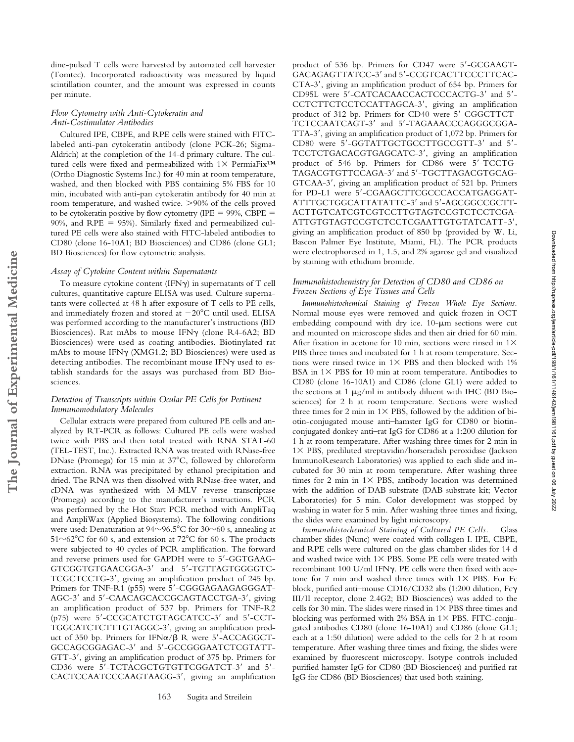dine-pulsed T cells were harvested by automated cell harvester (Tomtec). Incorporated radioactivity was measured by liquid scintillation counter, and the amount was expressed in counts per minute.

# *Flow Cytometry with Anti-Cytokeratin and Anti-Costimulator Antibodies*

Cultured IPE, CBPE, and RPE cells were stained with FITClabeled anti-pan cytokeratin antibody (clone PCK-26; Sigma-Aldrich) at the completion of the 14-d primary culture. The cultured cells were fixed and permeabilized with  $1 \times$  PermiaFix<sup>TM</sup> (Ortho Diagnostic Systems Inc.) for 40 min at room temperature, washed, and then blocked with PBS containing 5% FBS for 10 min, incubated with anti-pan cytokeratin antibody for 40 min at room temperature, and washed twice. >90% of the cells proved to be cytokeratin positive by flow cytometry (IPE  $= 99\%$ , CBPE  $=$ 90%, and RPE  $= 95%$ ). Similarly fixed and permeabilized cultured PE cells were also stained with FITC-labeled antibodies to CD80 (clone 16-10A1; BD Biosciences) and CD86 (clone GL1; BD Biosciences) for flow cytometric analysis.

#### *Assay of Cytokine Content within Supernatants*

To measure cytokine content (IFN $\gamma$ ) in supernatants of T cell cultures, quantitative capture ELISA was used. Culture supernatants were collected at 48 h after exposure of T cells to PE cells, and immediately frozen and stored at  $-20^{\circ}$ C until used. ELISA was performed according to the manufacturer's instructions (BD Biosciences). Rat mAbs to mouse IFNy (clone R4-6A2; BD Biosciences) were used as coating antibodies. Biotinylated rat mAbs to mouse IFN (XMG1.2; BD Biosciences) were used as detecting antibodies. The recombinant mouse IFNy used to establish standards for the assays was purchased from BD Biosciences.

# *Detection of Transcripts within Ocular PE Cells for Pertinent Immunomodulatory Molecules*

Cellular extracts were prepared from cultured PE cells and analyzed by RT-PCR as follows: Cultured PE cells were washed twice with PBS and then total treated with RNA STAT-60 (TEL-TEST, Inc.). Extracted RNA was treated with RNase-free DNase (Promega) for 15 min at 37°C, followed by chloroform extraction. RNA was precipitated by ethanol precipitation and dried. The RNA was then dissolved with RNase-free water, and cDNA was synthesized with M-MLV reverse transcriptase (Promega) according to the manufacturer's instructions. PCR was performed by the Hot Start PCR method with AmpliTaq and AmpliWax (Applied Biosystems). The following conditions were used: Denaturation at 94 $\sim$ 96.5°C for 30 $\sim$ 60 s, annealing at  $51~\sim 62^{\circ}$ C for 60 s, and extension at 72 $^{\circ}$ C for 60 s. The products were subjected to 40 cycles of PCR amplification. The forward and reverse primers used for GAPDH were to 5'-GGTGAAG-GTCGGTGTGAACGGA-3' and 5'-TGTTAGTGGGGTC-TCGCTCCTG-3', giving an amplification product of 245 bp. Primers for TNF-R1 (p55) were 5'-CGGGAGAAGAGGGAT-AGC-3' and 5'-CAACAGCACCGCAGTACCTGA-3', giving an amplification product of 537 bp. Primers for TNF-R2 (p75) were 5'-CCGCATCTGTAGCATCC-3' and 5'-CCT-TGGCATCTCTTTGTAGGC-3', giving an amplification product of 350 bp. Primers for IFN $\alpha$ / $\beta$  R were 5'-ACCAGGCT-GCCAGCGGAGAC-3' and 5'-GCCGGGAATCTCGTATT-GTT-3', giving an amplification product of 375 bp. Primers for CD36 were 5'-TCTACGCTGTGTTCGGATCT-3' and 5'-CACTCCAATCCCAAGTAAGG-3, giving an amplification

product of 536 bp. Primers for CD47 were 5-GCGAAGT-GACAGAGTTATCC-3' and 5'-CCGTCACTTCCCTTCAC-CTA-3', giving an amplification product of 654 bp. Primers for CD95L were 5'-CATCACAACCACTCCCACTG-3' and 5'-CCTCTTCTCCTCCATTAGCA-3, giving an amplification product of 312 bp. Primers for CD40 were 5-CGGCTTCT-TCTCCAATCAGT-3' and 5'-TAGAAACCCAGGGCGGA-TTA-3', giving an amplification product of 1,072 bp. Primers for CD80 were 5'-GGTATTGCTGCCTTGCCGTT-3' and 5'-TCCTCTGACACGTGAGCATC-3, giving an amplification product of 546 bp. Primers for CD86 were 5-TCCTG-TAGACGTGTTCCAGA-3' and 5'-TGCTTAGACGTGCAG-GTCAA-3', giving an amplification product of 521 bp. Primers for PD-L1 were 5'-CGAAGCTTCGCCCACCATGAGGAT-ATTTGCTGGCATTATATTC-3' and 5'-AGCGGCCGCTT-ACTTGTCATCGTCGTCCTTGTAGTCCGTCTCCTCGA-ATTGTGTAGTCCGTCTCCTCGAATTGTGTATCATT-3', giving an amplification product of 850 bp (provided by W. Li, Bascon Palmer Eye Institute, Miami, FL). The PCR products were electrophoresed in 1, 1.5, and 2% agarose gel and visualized by staining with ethidium bromide.

# *Immunohistochemistry for Detection of CD80 and CD86 on Frozen Sections of Eye Tissues and Cells*

*Immunohistochemical Staining of Frozen Whole Eye Sections.* Normal mouse eyes were removed and quick frozen in OCT embedding compound with dry ice.  $10-\mu m$  sections were cut and mounted on microscope slides and then air dried for 60 min. After fixation in acetone for 10 min, sections were rinsed in  $1\times$ PBS three times and incubated for 1 h at room temperature. Sections were rinsed twice in  $1 \times$  PBS and then blocked with 1% BSA in  $1\times$  PBS for 10 min at room temperature. Antibodies to CD80 (clone 16-10A1) and CD86 (clone GL1) were added to the sections at 1  $\mu$ g/ml in antibody diluent with IHC (BD Biosciences) for 2 h at room temperature. Sections were washed three times for 2 min in  $1\times$  PBS, followed by the addition of biotin-conjugated mouse anti–hamster IgG for CD80 or biotinconjugated donkey anti–rat IgG for CD86 at a 1:200 dilution for 1 h at room temperature. After washing three times for 2 min in  $1\times$  PBS, prediluted streptavidin/horseradish peroxidase (Jackson ImmunoResearch Laboratories) was applied to each slide and incubated for 30 min at room temperature. After washing three times for 2 min in  $1\times$  PBS, antibody location was determined with the addition of DAB substrate (DAB substrate kit; Vector Laboratories) for 5 min. Color development was stopped by washing in water for 5 min. After washing three times and fixing, the slides were examined by light microscopy.

*Immunohistochemical Staining of Cultured PE Cells.* Glass chamber slides (Nunc) were coated with collagen I. IPE, CBPE, and RPE cells were cultured on the glass chamber slides for 14 d and washed twice with  $1 \times$  PBS. Some PE cells were treated with recombinant 100 U/ml IFN . PE cells were then fixed with acetone for 7 min and washed three times with  $1\times$  PBS. For Fc block, purified anti–mouse CD16/CD32 abs (1:200 dilution, Fc III/II receptor, clone 2.4G2; BD Biosciences) was added to the cells for 30 min. The slides were rinsed in  $1\times$  PBS three times and blocking was performed with 2% BSA in  $1 \times$  PBS. FITC-conjugated antibodies CD80 (clone 16-10A1) and CD86 (clone GL1; each at a 1:50 dilution) were added to the cells for 2 h at room temperature. After washing three times and fixing, the slides were examined by fluorescent microscopy. Isotype controls included purified hamster IgG for CD80 (BD Biosciences) and purified rat IgG for CD86 (BD Biosciences) that used both staining.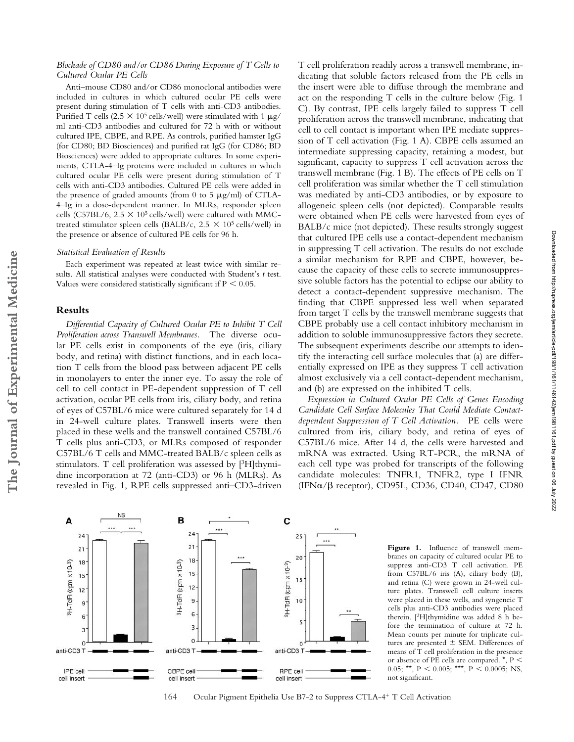# *Blockade of CD80 and/or CD86 During Exposure of T Cells to Cultured Ocular PE Cells*

Anti–mouse CD80 and/or CD86 monoclonal antibodies were included in cultures in which cultured ocular PE cells were present during stimulation of T cells with anti-CD3 antibodies. Purified T cells (2.5  $\times$  10<sup>5</sup> cells/well) were stimulated with 1  $\mu$ g/ ml anti-CD3 antibodies and cultured for 72 h with or without cultured IPE, CBPE, and RPE. As controls, purified hamster IgG (for CD80; BD Biosciences) and purified rat IgG (for CD86; BD Biosciences) were added to appropriate cultures. In some experiments, CTLA-4–Ig proteins were included in cultures in which cultured ocular PE cells were present during stimulation of T cells with anti-CD3 antibodies. Cultured PE cells were added in the presence of graded amounts (from 0 to 5  $\mu$ g/ml) of CTLA-4–Ig in a dose-dependent manner. In MLRs, responder spleen cells (C57BL/6,  $2.5 \times 10^5$  cells/well) were cultured with MMCtreated stimulator spleen cells (BALB/c,  $2.5 \times 10^5$  cells/well) in the presence or absence of cultured PE cells for 96 h.

#### *Statistical Evaluation of Results*

Each experiment was repeated at least twice with similar results. All statistical analyses were conducted with Student's *t* test. Values were considered statistically significant if  $P < 0.05$ .

### **Results**

*Differential Capacity of Cultured Ocular PE to Inhibit T Cell Proliferation across Transwell Membranes.* The diverse ocular PE cells exist in components of the eye (iris, ciliary body, and retina) with distinct functions, and in each location T cells from the blood pass between adjacent PE cells in monolayers to enter the inner eye. To assay the role of cell to cell contact in PE-dependent suppression of T cell activation, ocular PE cells from iris, ciliary body, and retina of eyes of C57BL/6 mice were cultured separately for 14 d in 24-well culture plates. Transwell inserts were then placed in these wells and the transwell contained C57BL/6 T cells plus anti-CD3, or MLRs composed of responder C57BL/6 T cells and MMC-treated BALB/c spleen cells as stimulators. T cell proliferation was assessed by [<sup>3</sup>H]thymidine incorporation at 72 (anti-CD3) or 96 h (MLRs). As revealed in Fig. 1, RPE cells suppressed anti–CD3-driven T cell proliferation readily across a transwell membrane, indicating that soluble factors released from the PE cells in the insert were able to diffuse through the membrane and act on the responding T cells in the culture below (Fig. 1 C). By contrast, IPE cells largely failed to suppress T cell proliferation across the transwell membrane, indicating that cell to cell contact is important when IPE mediate suppression of T cell activation (Fig. 1 A). CBPE cells assumed an intermediate suppressing capacity, retaining a modest, but significant, capacity to suppress T cell activation across the transwell membrane (Fig. 1 B). The effects of PE cells on T cell proliferation was similar whether the T cell stimulation was mediated by anti-CD3 antibodies, or by exposure to allogeneic spleen cells (not depicted). Comparable results were obtained when PE cells were harvested from eyes of BALB/c mice (not depicted). These results strongly suggest that cultured IPE cells use a contact-dependent mechanism in suppressing T cell activation. The results do not exclude a similar mechanism for RPE and CBPE, however, because the capacity of these cells to secrete immunosuppressive soluble factors has the potential to eclipse our ability to detect a contact-dependent suppressive mechanism. The finding that CBPE suppressed less well when separated from target T cells by the transwell membrane suggests that CBPE probably use a cell contact inhibitory mechanism in addition to soluble immunosuppressive factors they secrete. The subsequent experiments describe our attempts to identify the interacting cell surface molecules that (a) are differentially expressed on IPE as they suppress T cell activation almost exclusively via a cell contact-dependent mechanism, and (b) are expressed on the inhibited T cells.

*Expression in Cultured Ocular PE Cells of Genes Encoding Candidate Cell Surface Molecules That Could Mediate Contactdependent Suppression of T Cell Activation.* PE cells were cultured from iris, ciliary body, and retina of eyes of C57BL/6 mice. After 14 d, the cells were harvested and mRNA was extracted. Using RT-PCR, the mRNA of each cell type was probed for transcripts of the following candidate molecules: TNFR1, TNFR2, type I IFNR  $(IFN $\alpha$ /\beta$  receptor), CD95L, CD36, CD40, CD47, CD80



**Figure 1.** Influence of transwell membranes on capacity of cultured ocular PE to suppress anti-CD3 T cell activation. PE from C57BL/6 iris (A), ciliary body (B), and retina (C) were grown in 24-well culture plates. Transwell cell culture inserts were placed in these wells, and syngeneic T cells plus anti-CD3 antibodies were placed therein. [3H]thymidine was added 8 h before the termination of culture at 72 h. Mean counts per minute for triplicate cultures are presented  $\pm$  SEM. Differences of means of T cell proliferation in the presence or absence of PE cells are compared. \*, P 0.05; \*\*,  $P < 0.005$ ; \*\*\*,  $P < 0.0005$ ; NS, not significant.

## 164 Ocular Pigment Epithelia Use B7-2 to Suppress CTLA-4- T Cell Activation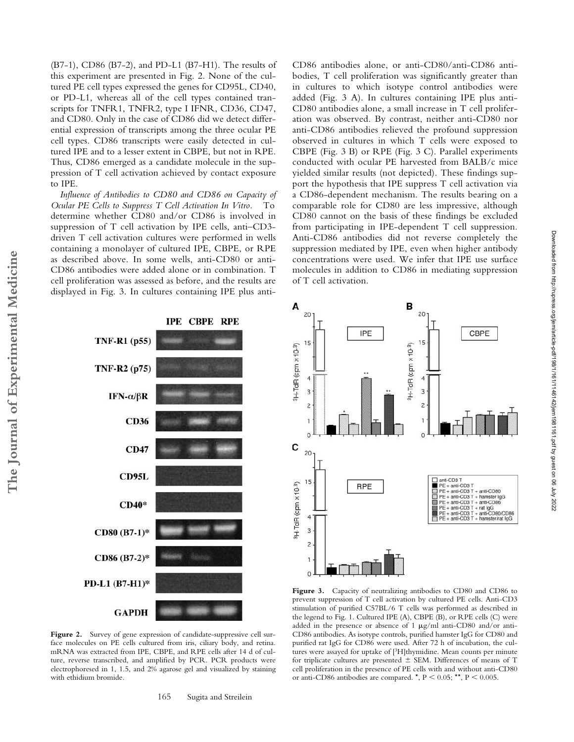(B7-1), CD86 (B7-2), and PD-L1 (B7-H1). The results of this experiment are presented in Fig. 2. None of the cultured PE cell types expressed the genes for CD95L, CD40, or PD-L1, whereas all of the cell types contained transcripts for TNFR1, TNFR2, type I IFNR, CD36, CD47, and CD80. Only in the case of CD86 did we detect differential expression of transcripts among the three ocular PE cell types. CD86 transcripts were easily detected in cultured IPE and to a lesser extent in CBPE, but not in RPE. Thus, CD86 emerged as a candidate molecule in the suppression of T cell activation achieved by contact exposure to IPE.

*Influence of Antibodies to CD80 and CD86 on Capacity of Ocular PE Cells to Suppress T Cell Activation In Vitro.* To determine whether CD80 and/or CD86 is involved in suppression of T cell activation by IPE cells, anti–CD3 driven T cell activation cultures were performed in wells containing a monolayer of cultured IPE, CBPE, or RPE as described above. In some wells, anti-CD80 or anti-CD86 antibodies were added alone or in combination. T cell proliferation was assessed as before, and the results are displayed in Fig. 3. In cultures containing IPE plus antiCD86 antibodies alone, or anti-CD80/anti-CD86 antibodies, T cell proliferation was significantly greater than in cultures to which isotype control antibodies were added (Fig. 3 A). In cultures containing IPE plus anti-CD80 antibodies alone, a small increase in T cell proliferation was observed. By contrast, neither anti-CD80 nor anti-CD86 antibodies relieved the profound suppression observed in cultures in which T cells were exposed to CBPE (Fig. 3 B) or RPE (Fig. 3 C). Parallel experiments conducted with ocular PE harvested from BALB/c mice yielded similar results (not depicted). These findings support the hypothesis that IPE suppress T cell activation via a CD86-dependent mechanism. The results bearing on a comparable role for CD80 are less impressive, although CD80 cannot on the basis of these findings be excluded from participating in IPE-dependent T cell suppression. Anti-CD86 antibodies did not reverse completely the suppression mediated by IPE, even when higher antibody concentrations were used. We infer that IPE use surface molecules in addition to CD86 in mediating suppression of T cell activation.



Figure 2. Survey of gene expression of candidate-suppressive cell surface molecules on PE cells cultured from iris, ciliary body, and retina. mRNA was extracted from IPE, CBPE, and RPE cells after 14 d of culture, reverse transcribed, and amplified by PCR. PCR products were electrophoresed in 1, 1.5, and 2% agarose gel and visualized by staining with ethidium bromide.

165 Sugita and Streilein



**Figure 3.** Capacity of neutralizing antibodies to CD80 and CD86 to prevent suppression of T cell activation by cultured PE cells. Anti-CD3 stimulation of purified C57BL/6 T cells was performed as described in the legend to Fig. 1. Cultured IPE (A), CBPE (B), or RPE cells (C) were added in the presence or absence of 1  $\mu$ g/ml anti-CD80 and/or anti-CD86 antibodies. As isotype controls, purified hamster IgG for CD80 and purified rat IgG for CD86 were used. After 72 h of incubation, the cultures were assayed for uptake of [3H]thymidine. Mean counts per minute for triplicate cultures are presented  $\pm$  SEM. Differences of means of T cell proliferation in the presence of PE cells with and without anti-CD80 or anti-CD86 antibodies are compared.  $^{\star}$ , P < 0.05;  $^{\star\star}$ , P < 0.005.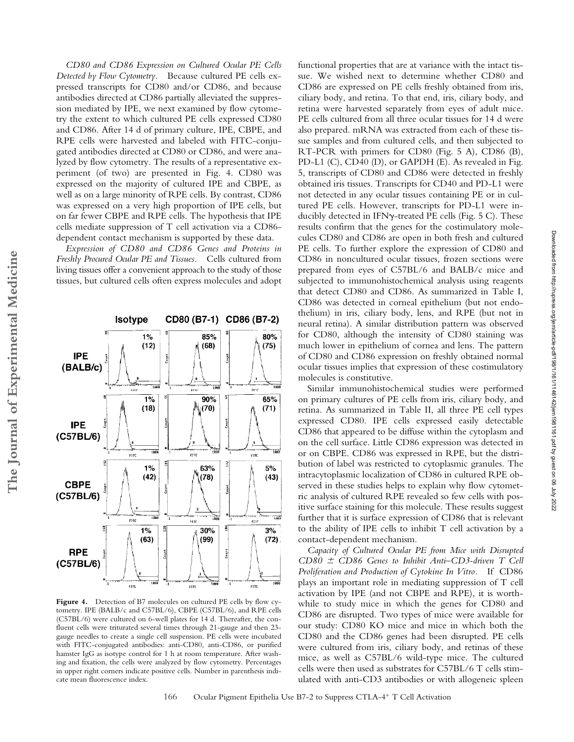*CD80 and CD86 Expression on Cultured Ocular PE Cells Detected by Flow Cytometry.* Because cultured PE cells expressed transcripts for CD80 and/or CD86, and because antibodies directed at CD86 partially alleviated the suppression mediated by IPE, we next examined by flow cytometry the extent to which cultured PE cells expressed CD80 and CD86. After 14 d of primary culture, IPE, CBPE, and RPE cells were harvested and labeled with FITC-conjugated antibodies directed at CD80 or CD86, and were analyzed by flow cytometry. The results of a representative experiment (of two) are presented in Fig. 4. CD80 was expressed on the majority of cultured IPE and CBPE, as well as on a large minority of RPE cells. By contrast, CD86 was expressed on a very high proportion of IPE cells, but on far fewer CBPE and RPE cells. The hypothesis that IPE cells mediate suppression of T cell activation via a CD86 dependent contact mechanism is supported by these data.

*Expression of CD80 and CD86 Genes and Proteins in Freshly Procured Ocular PE and Tissues.* Cells cultured from living tissues offer a convenient approach to the study of those tissues, but cultured cells often express molecules and adopt

Isotype CD80 (B7-1) CD86 (B7-2)  $1%$ 85% 80%  $(68)$  $(12)$  $(75)$ **IPE** l<br>Guan<br>T .<br>Refe ... **FITE**  $1%$ 65% 90%  $(18)$  $(70)$  $(71)$ Count? Ē **IPE** Tasa  $1000$  $FITC$  $\overline{\text{H}}$ нıс  $\widetilde{\omega}$  $1%$ 63%  $5%$  $(42)$  $(78)$  $(43)$ **CBPE** ات<br>اف 1988 े.<br>समिति ر<br>1998 -<br>1998 - $FITC$ erre. str. 삐  $30%$ 회  $3%$  $1%$  $(63)$  $(99)$  $(72)$ **RPE** Jaunt.

Figure 4. Detection of B7 molecules on cultured PE cells by flow cytometry. IPE (BALB/c and C57BL/6), CBPE (C57BL/6), and RPE cells (C57BL/6) were cultured on 6-well plates for 14 d. Thereafter, the confluent cells were triturated several times through 21-gauge and then 23 gauge needles to create a single cell suspension. PE cells were incubated with FITC-conjugated antibodies: anti-CD80, anti-CD86, or purified hamster IgG as isotype control for 1 h at room temperature. After washing and fixation, the cells were analyzed by flow cytometry. Percentages in upper right corners indicate positive cells. Number in parenthesis indicate mean fluorescence index.

functional properties that are at variance with the intact tissue. We wished next to determine whether CD80 and CD86 are expressed on PE cells freshly obtained from iris, ciliary body, and retina. To that end, iris, ciliary body, and retina were harvested separately from eyes of adult mice. PE cells cultured from all three ocular tissues for 14 d were also prepared. mRNA was extracted from each of these tissue samples and from cultured cells, and then subjected to RT-PCR with primers for CD80 (Fig. 5 A), CD86 (B), PD-L1 (C), CD40 (D), or GAPDH (E). As revealed in Fig. 5, transcripts of CD80 and CD86 were detected in freshly obtained iris tissues. Transcripts for CD40 and PD-L1 were not detected in any ocular tissues containing PE or in cultured PE cells. However, transcripts for PD-L1 were inducibly detected in IFNy-treated PE cells (Fig. 5 C). These results confirm that the genes for the costimulatory molecules CD80 and CD86 are open in both fresh and cultured PE cells. To further explore the expression of CD80 and CD86 in noncultured ocular tissues, frozen sections were prepared from eyes of C57BL/6 and BALB/c mice and subjected to immunohistochemical analysis using reagents that detect CD80 and CD86. As summarized in Table I, CD86 was detected in corneal epithelium (but not endothelium) in iris, ciliary body, lens, and RPE (but not in neural retina). A similar distribution pattern was observed for CD80, although the intensity of CD80 staining was much lower in epithelium of cornea and lens. The pattern of CD80 and CD86 expression on freshly obtained normal ocular tissues implies that expression of these costimulatory molecules is constitutive.

Similar immunohistochemical studies were performed on primary cultures of PE cells from iris, ciliary body, and retina. As summarized in Table II, all three PE cell types expressed CD80. IPE cells expressed easily detectable CD86 that appeared to be diffuse within the cytoplasm and on the cell surface. Little CD86 expression was detected in or on CBPE. CD86 was expressed in RPE, but the distribution of label was restricted to cytoplasmic granules. The intracytoplasmic localization of CD86 in cultured RPE observed in these studies helps to explain why flow cytometric analysis of cultured RPE revealed so few cells with positive surface staining for this molecule. These results suggest further that it is surface expression of CD86 that is relevant to the ability of IPE cells to inhibit T cell activation by a contact-dependent mechanism.

*Capacity of Cultured Ocular PE from Mice with Disrupted CD80 CD86 Genes to Inhibit Anti–CD3-driven T Cell Proliferation and Production of Cytokine In Vitro.* If CD86 plays an important role in mediating suppression of T cell activation by IPE (and not CBPE and RPE), it is worthwhile to study mice in which the genes for CD80 and CD86 are disrupted. Two types of mice were available for our study: CD80 KO mice and mice in which both the CD80 and the CD86 genes had been disrupted. PE cells were cultured from iris, ciliary body, and retinas of these mice, as well as C57BL/6 wild-type mice. The cultured cells were then used as substrates for C57BL/6 T cells stimulated with anti-CD3 antibodies or with allogeneic spleen



**The Journal of Experimental Medicine**

The Journal of Experimental Medicine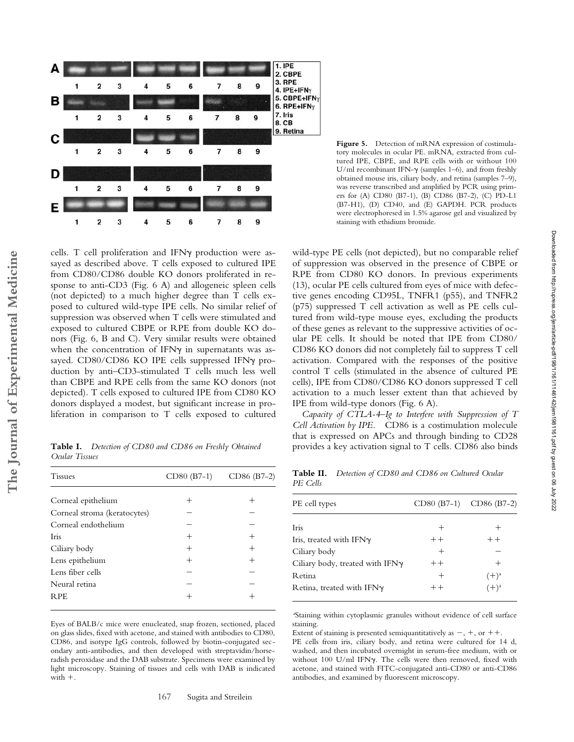

Figure 5. Detection of mRNA expression of costimulatory molecules in ocular PE. mRNA, extracted from cultured IPE, CBPE, and RPE cells with or without 100 U/ml recombinant IFN- $\gamma$  (samples 1-6), and from freshly obtained mouse iris, ciliary body, and retina (samples 7–9), was reverse transcribed and amplified by PCR using primers for (A) CD80 (B7-1), (B) CD86 (B7-2), (C) PD-L1 (B7-H1), (D) CD40, and (E) GAPDH. PCR products were electrophoresed in 1.5% agarose gel and visualized by staining with ethidium bromide.

cells. T cell proliferation and IFNy production were assayed as described above. T cells exposed to cultured IPE from CD80/CD86 double KO donors proliferated in response to anti-CD3 (Fig. 6 A) and allogeneic spleen cells (not depicted) to a much higher degree than T cells exposed to cultured wild-type IPE cells. No similar relief of suppression was observed when T cells were stimulated and exposed to cultured CBPE or RPE from double KO donors (Fig. 6, B and C). Very similar results were obtained when the concentration of IFNy in supernatants was assayed. CD80/CD86 KO IPE cells suppressed IFNy production by anti–CD3-stimulated T cells much less well than CBPE and RPE cells from the same KO donors (not depicted). T cells exposed to cultured IPE from CD80 KO donors displayed a modest, but significant increase in proliferation in comparison to T cells exposed to cultured

**Table I.** *Detection of CD80 and CD86 on Freshly Obtained Ocular Tissues*

| <b>Tissues</b>               |      | $CD80 (B7-1)$ $CD86 (B7-2)$ |
|------------------------------|------|-----------------------------|
|                              |      |                             |
| Corneal epithelium           |      |                             |
| Corneal stroma (keratocytes) |      |                             |
| Corneal endothelium          |      |                             |
| Iris                         | $^+$ | $^+$                        |
| Ciliary body                 | $^+$ | $^+$                        |
| Lens epithelium              | $^+$ | $^+$                        |
| Lens fiber cells             |      |                             |
| Neural retina                |      |                             |
| <b>RPE</b>                   |      |                             |
|                              |      |                             |

Eyes of BALB/c mice were enucleated, snap frozen, sectioned, placed on glass slides, fixed with acetone, and stained with antibodies to CD80, CD86, and isotype IgG controls, followed by biotin-conjugated secondary anti-antibodies, and then developed with streptavidin/horseradish peroxidase and the DAB substrate. Specimens were examined by light microscopy. Staining of tissues and cells with DAB is indicated  $with +$ .

wild-type PE cells (not depicted), but no comparable relief of suppression was observed in the presence of CBPE or RPE from CD80 KO donors. In previous experiments (13), ocular PE cells cultured from eyes of mice with defective genes encoding CD95L, TNFR1 (p55), and TNFR2 (p75) suppressed T cell activation as well as PE cells cultured from wild-type mouse eyes, excluding the products of these genes as relevant to the suppressive activities of ocular PE cells. It should be noted that IPE from CD80/ CD86 KO donors did not completely fail to suppress T cell activation. Compared with the responses of the positive control T cells (stimulated in the absence of cultured PE cells), IPE from CD80/CD86 KO donors suppressed T cell activation to a much lesser extent than that achieved by IPE from wild-type donors (Fig. 6 A).

*Capacity of CTLA-4–Ig to Interfere with Suppression of T Cell Activation by IPE.* CD86 is a costimulation molecule that is expressed on APCs and through binding to CD28 provides a key activation signal to T cells. CD86 also binds

**Table II.** *Detection of CD80 and CD86 on Cultured Ocular PE Cells*

| PE cell types                          |       | CD80 (B7-1) CD86 (B7-2) |
|----------------------------------------|-------|-------------------------|
| Iris                                   |       |                         |
| Iris, treated with $IFN\gamma$         | $++$  | $++$                    |
| Ciliary body                           | $\pm$ |                         |
| Ciliary body, treated with $IFN\gamma$ | $++$  |                         |
| <b>R</b> etina                         |       | $(+)$ <sup>a</sup>      |
| Retina, treated with $IFN\gamma$       |       | $(+)$ <sup>a</sup>      |
|                                        |       |                         |

a Staining within cytoplasmic granules without evidence of cell surface staining.

Extent of staining is presented semiquantitatively as  $-, +$ , or  $++$ . PE cells from iris, ciliary body, and retina were cultured for 14 d, washed, and then incubated overnight in serum-free medium, with or without 100 U/ml IFN . The cells were then removed, fixed with acetone, and stained with FITC-conjugated anti-CD80 or anti-CD86 antibodies, and examined by fluorescent microscopy.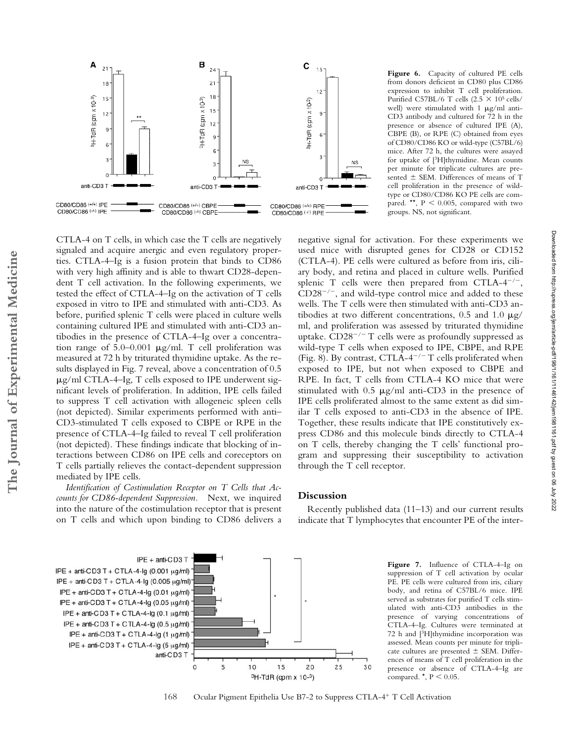

CTLA-4 on T cells, in which case the T cells are negatively signaled and acquire anergic and even regulatory properties. CTLA-4–Ig is a fusion protein that binds to CD86 with very high affinity and is able to thwart CD28-dependent T cell activation. In the following experiments, we tested the effect of CTLA-4–Ig on the activation of T cells exposed in vitro to IPE and stimulated with anti-CD3. As before, purified splenic T cells were placed in culture wells containing cultured IPE and stimulated with anti-CD3 antibodies in the presence of CTLA-4–Ig over a concentration range of  $5.0-0.001$   $\mu$ g/ml. T cell proliferation was measured at 72 h by triturated thymidine uptake. As the results displayed in Fig. 7 reveal, above a concentration of 0.5  $\mu$ g/ml CTLA-4–Ig, T cells exposed to IPE underwent significant levels of proliferation. In addition, IPE cells failed to suppress T cell activation with allogeneic spleen cells (not depicted). Similar experiments performed with anti– CD3-stimulated T cells exposed to CBPE or RPE in the presence of CTLA-4–Ig failed to reveal T cell proliferation (not depicted). These findings indicate that blocking of interactions between CD86 on IPE cells and coreceptors on T cells partially relieves the contact-dependent suppression mediated by IPE cells.

*Identification of Costimulation Receptor on T Cells that Accounts for CD86-dependent Suppression.* Next, we inquired into the nature of the costimulation receptor that is present on T cells and which upon binding to CD86 delivers a



Downloaded from http://rupress.org/jem/article-pdf/198/1/161/1146142/jem1981161.pdf by guest on 06 July 2022

Downloaded from http://rupress.org/jem/article-pdf/198/1/161/1146142/jem1981161.pdf by guest on 06 July 2022

negative signal for activation. For these experiments we used mice with disrupted genes for CD28 or CD152 (CTLA-4). PE cells were cultured as before from iris, ciliary body, and retina and placed in culture wells. Purified splenic T cells were then prepared from CTLA- $4^{-/-}$ ,  $CD28^{-/-}$ , and wild-type control mice and added to these wells. The T cells were then stimulated with anti-CD3 antibodies at two different concentrations, 0.5 and 1.0  $\mu$ g/ ml, and proliferation was assessed by triturated thymidine uptake.  $CD28^{-/-}$  T cells were as profoundly suppressed as wild-type T cells when exposed to IPE, CBPE, and RPE (Fig. 8). By contrast, CTLA-4<sup>-/-</sup> T cells proliferated when exposed to IPE, but not when exposed to CBPE and RPE. In fact, T cells from CTLA-4 KO mice that were stimulated with  $0.5 \mu g/ml$  anti-CD3 in the presence of IPE cells proliferated almost to the same extent as did similar T cells exposed to anti-CD3 in the absence of IPE. Together, these results indicate that IPE constitutively express CD86 and this molecule binds directly to CTLA-4 on T cells, thereby changing the T cells' functional program and suppressing their susceptibility to activation through the T cell receptor.

# **Discussion**

Recently published data (11–13) and our current results indicate that T lymphocytes that encounter PE of the inter-

> **Figure 7.** Influence of CTLA-4–Ig on suppression of T cell activation by ocular PE. PE cells were cultured from iris, ciliary body, and retina of C57BL/6 mice. IPE served as substrates for purified T cells stimulated with anti-CD3 antibodies in the presence of varying concentrations of CTLA-4–Ig. Cultures were terminated at 72 h and [3H]thymidine incorporation was assessed. Mean counts per minute for triplicate cultures are presented  $\pm$  SEM. Differences of means of T cell proliferation in the presence or absence of CTLA-4–Ig are compared.  $\star$ , P < 0.05.



168 Ocular Pigment Epithelia Use B7-2 to Suppress CTLA-4<sup>+</sup> T Cell Activation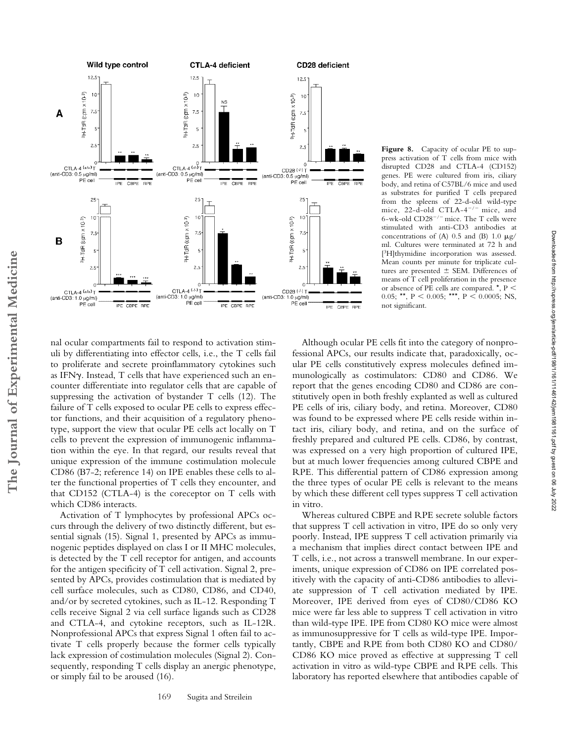

Figure 8. Capacity of ocular PE to suppress activation of T cells from mice with disrupted CD28 and CTLA-4 (CD152) genes. PE were cultured from iris, ciliary body, and retina of C57BL/6 mice and used as substrates for purified T cells prepared from the spleens of 22-d-old wild-type mice, 22-d-old CTLA- $4^{-/-}$  mice, and 6-wk-old  $CD28^{-/-}$  mice. The T cells were stimulated with anti-CD3 antibodies at concentrations of (A)  $0.5$  and (B)  $1.0 \mu g$ / ml. Cultures were terminated at 72 h and [3H]thymidine incorporation was assessed. Mean counts per minute for triplicate cultures are presented  $\pm$  SEM. Differences of means of T cell proliferation in the presence or absence of PE cells are compared. \*, P 0.05; \*\*,  $P \le 0.005$ ; \*\*\*,  $P \le 0.0005$ ; NS, not significant.

Downloaded from http://rupress.org/jem/article-pdf/198/1/161/1146142/jem1981161.pdf by guest on 06 July 2022

Downloaded from http://rupress.org/jem/article-pdf/198/1/161/1146142/jem1981161.ptj by guest on 06 July 2022

nal ocular compartments fail to respond to activation stimuli by differentiating into effector cells, i.e., the T cells fail to proliferate and secrete proinflammatory cytokines such as IFN . Instead, T cells that have experienced such an encounter differentiate into regulator cells that are capable of suppressing the activation of bystander T cells (12). The failure of T cells exposed to ocular PE cells to express effector functions, and their acquisition of a regulatory phenotype, support the view that ocular PE cells act locally on T cells to prevent the expression of immunogenic inflammation within the eye. In that regard, our results reveal that unique expression of the immune costimulation molecule CD86 (B7-2; reference 14) on IPE enables these cells to alter the functional properties of T cells they encounter, and that CD152 (CTLA-4) is the coreceptor on T cells with which CD86 interacts.

Activation of T lymphocytes by professional APCs occurs through the delivery of two distinctly different, but essential signals (15). Signal 1, presented by APCs as immunogenic peptides displayed on class I or II MHC molecules, is detected by the T cell receptor for antigen, and accounts for the antigen specificity of T cell activation. Signal 2, presented by APCs, provides costimulation that is mediated by cell surface molecules, such as CD80, CD86, and CD40, and/or by secreted cytokines, such as IL-12. Responding T cells receive Signal 2 via cell surface ligands such as CD28 and CTLA-4, and cytokine receptors, such as IL-12R. Nonprofessional APCs that express Signal 1 often fail to activate T cells properly because the former cells typically lack expression of costimulation molecules (Signal 2). Consequently, responding T cells display an anergic phenotype, or simply fail to be aroused (16).

Although ocular PE cells fit into the category of nonprofessional APCs, our results indicate that, paradoxically, ocular PE cells constitutively express molecules defined immunologically as costimulators: CD80 and CD86. We report that the genes encoding CD80 and CD86 are constitutively open in both freshly explanted as well as cultured PE cells of iris, ciliary body, and retina. Moreover, CD80 was found to be expressed where PE cells reside within intact iris, ciliary body, and retina, and on the surface of freshly prepared and cultured PE cells. CD86, by contrast, was expressed on a very high proportion of cultured IPE, but at much lower frequencies among cultured CBPE and RPE. This differential pattern of CD86 expression among the three types of ocular PE cells is relevant to the means by which these different cell types suppress T cell activation in vitro.

Whereas cultured CBPE and RPE secrete soluble factors that suppress T cell activation in vitro, IPE do so only very poorly. Instead, IPE suppress T cell activation primarily via a mechanism that implies direct contact between IPE and T cells, i.e., not across a transwell membrane. In our experiments, unique expression of CD86 on IPE correlated positively with the capacity of anti-CD86 antibodies to alleviate suppression of T cell activation mediated by IPE. Moreover, IPE derived from eyes of CD80/CD86 KO mice were far less able to suppress T cell activation in vitro than wild-type IPE. IPE from CD80 KO mice were almost as immunosuppressive for T cells as wild-type IPE. Importantly, CBPE and RPE from both CD80 KO and CD80/ CD86 KO mice proved as effective at suppressing T cell activation in vitro as wild-type CBPE and RPE cells. This laboratory has reported elsewhere that antibodies capable of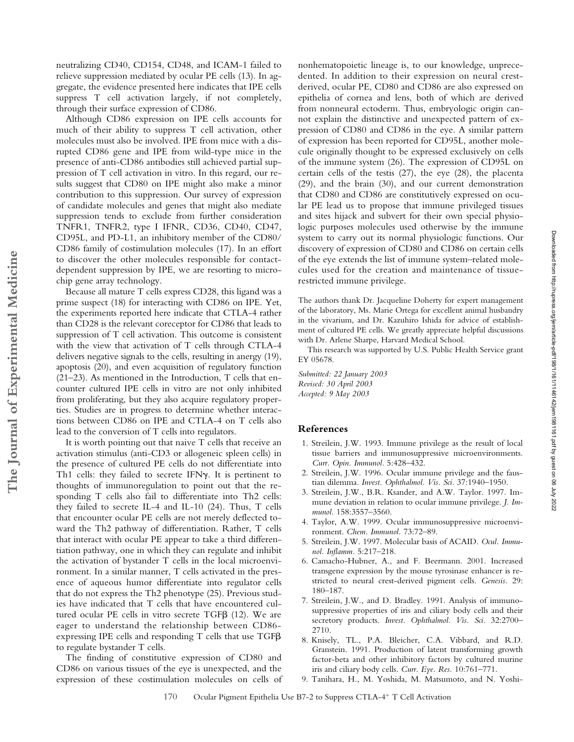neutralizing CD40, CD154, CD48, and ICAM-1 failed to relieve suppression mediated by ocular PE cells (13). In aggregate, the evidence presented here indicates that IPE cells suppress T cell activation largely, if not completely, through their surface expression of CD86.

Although CD86 expression on IPE cells accounts for much of their ability to suppress T cell activation, other molecules must also be involved. IPE from mice with a disrupted CD86 gene and IPE from wild-type mice in the presence of anti-CD86 antibodies still achieved partial suppression of T cell activation in vitro. In this regard, our results suggest that CD80 on IPE might also make a minor contribution to this suppression. Our survey of expression of candidate molecules and genes that might also mediate suppression tends to exclude from further consideration TNFR1, TNFR2, type I IFNR, CD36, CD40, CD47, CD95L, and PD-L1, an inhibitory member of the CD80/ CD86 family of costimulation molecules (17). In an effort to discover the other molecules responsible for contactdependent suppression by IPE, we are resorting to microchip gene array technology.

Because all mature T cells express CD28, this ligand was a prime suspect (18) for interacting with CD86 on IPE. Yet, the experiments reported here indicate that CTLA-4 rather than CD28 is the relevant coreceptor for CD86 that leads to suppression of T cell activation. This outcome is consistent with the view that activation of T cells through CTLA-4 delivers negative signals to the cells, resulting in anergy (19), apoptosis (20), and even acquisition of regulatory function (21–23). As mentioned in the Introduction, T cells that encounter cultured IPE cells in vitro are not only inhibited from proliferating, but they also acquire regulatory properties. Studies are in progress to determine whether interactions between CD86 on IPE and CTLA-4 on T cells also lead to the conversion of T cells into regulators.

**The Journal of Experimental Medicine**

The Journal of Experimental Medicine

It is worth pointing out that naive T cells that receive an activation stimulus (anti-CD3 or allogeneic spleen cells) in the presence of cultured PE cells do not differentiate into Th1 cells: they failed to secrete IFNy. It is pertinent to thoughts of immunoregulation to point out that the responding T cells also fail to differentiate into Th2 cells: they failed to secrete IL-4 and IL-10 (24). Thus, T cells that encounter ocular PE cells are not merely deflected toward the Th2 pathway of differentiation. Rather, T cells that interact with ocular PE appear to take a third differentiation pathway, one in which they can regulate and inhibit the activation of bystander T cells in the local microenvironment. In a similar manner, T cells activated in the presence of aqueous humor differentiate into regulator cells that do not express the Th2 phenotype (25). Previous studies have indicated that T cells that have encountered cultured ocular PE cells in vitro secrete TGF (12). We are eager to understand the relationship between CD86 expressing IPE cells and responding T cells that use TGF to regulate bystander T cells.

The finding of constitutive expression of CD80 and CD86 on various tissues of the eye is unexpected, and the expression of these costimulation molecules on cells of nonhematopoietic lineage is, to our knowledge, unprecedented. In addition to their expression on neural crestderived, ocular PE, CD80 and CD86 are also expressed on epithelia of cornea and lens, both of which are derived from nonneural ectoderm. Thus, embryologic origin cannot explain the distinctive and unexpected pattern of expression of CD80 and CD86 in the eye. A similar pattern of expression has been reported for CD95L, another molecule originally thought to be expressed exclusively on cells of the immune system (26). The expression of CD95L on certain cells of the testis (27), the eye (28), the placenta (29), and the brain (30), and our current demonstration that CD80 and CD86 are constitutively expressed on ocular PE lead us to propose that immune privileged tissues and sites hijack and subvert for their own special physiologic purposes molecules used otherwise by the immune system to carry out its normal physiologic functions. Our discovery of expression of CD80 and CD86 on certain cells of the eye extends the list of immune system–related molecules used for the creation and maintenance of tissuerestricted immune privilege.

The authors thank Dr. Jacqueline Doherty for expert management of the laboratory, Ms. Marie Ortega for excellent animal husbandry in the vivarium, and Dr. Kazuhiro Ishida for advice of establishment of cultured PE cells. We greatly appreciate helpful discussions with Dr. Arlene Sharpe, Harvard Medical School.

This research was supported by U.S. Public Health Service grant EY 05678.

*Submitted: 22 January 2003 Revised: 30 April 2003 Accepted: 9 May 2003*

# **References**

- 1. Streilein, J.W. 1993. Immune privilege as the result of local tissue barriers and immunosuppressive microenvironments. *Curr. Opin. Immunol.* 5:428–432.
- 2. Streilein, J.W. 1996. Ocular immune privilege and the faustian dilemma. *Invest. Ophthalmol. Vis. Sci.* 37:1940–1950.
- 3. Streilein, J.W., B.R. Ksander, and A.W. Taylor. 1997. Immune deviation in relation to ocular immune privilege. *J. Immunol.* 158:3557–3560.
- 4. Taylor, A.W. 1999. Ocular immunosuppressive microenvironment. *Chem. Immunol.* 73:72–89.
- 5. Streilein, J.W. 1997. Molecular basis of ACAID. *Ocul. Immunol. Inflamm.* 5:217–218.
- 6. Camacho-Hubner, A., and F. Beermann. 2001. Increased transgene expression by the mouse tyrosinase enhancer is restricted to neural crest-derived pigment cells. *Genesis.* 29: 180–187.
- 7. Streilein, J.W., and D. Bradley. 1991. Analysis of immunosuppressive properties of iris and ciliary body cells and their secretory products. *Invest. Ophthalmol. Vis. Sci.* 32:2700– 2710.
- 8. Knisely, TL., P.A. Bleicher, C.A. Vibbard, and R.D. Granstein. 1991. Production of latent transforming growth factor-beta and other inhibitory factors by cultured murine iris and ciliary body cells. *Curr. Eye. Res.* 10:761–771.
- 9. Tanihara, H., M. Yoshida, M. Matsumoto, and N. Yoshi-